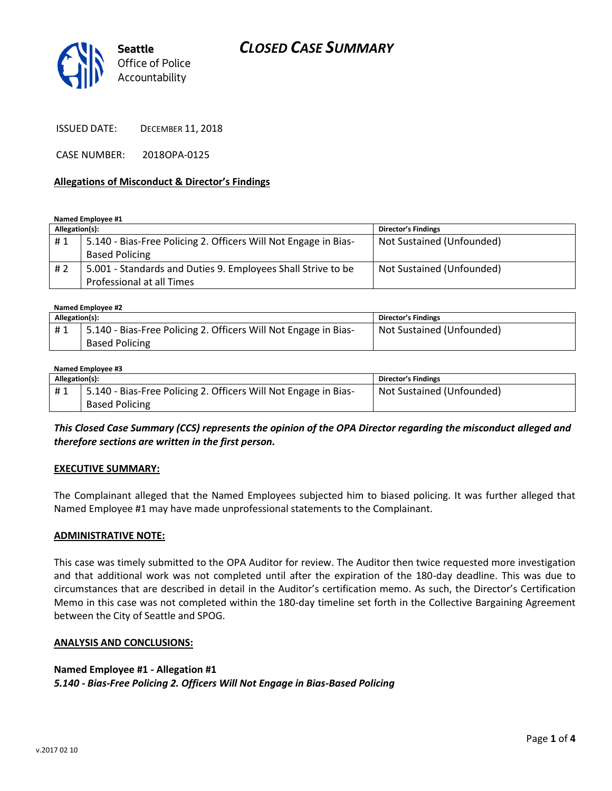## *CLOSED CASE SUMMARY*



ISSUED DATE: DECEMBER 11, 2018

CASE NUMBER: 2018OPA-0125

#### **Allegations of Misconduct & Director's Findings**

**Named Employee #1**

| Allegation(s): |                                                                 | <b>Director's Findings</b> |
|----------------|-----------------------------------------------------------------|----------------------------|
| #1             | 5.140 - Bias-Free Policing 2. Officers Will Not Engage in Bias- | Not Sustained (Unfounded)  |
|                | <b>Based Policing</b>                                           |                            |
| # 2            | 5.001 - Standards and Duties 9. Employees Shall Strive to be    | Not Sustained (Unfounded)  |
|                | Professional at all Times                                       |                            |

**Named Employee #2**

| Allegation(s): |                                                                 | <b>Director's Findings</b> |
|----------------|-----------------------------------------------------------------|----------------------------|
| #1             | 5.140 - Bias-Free Policing 2. Officers Will Not Engage in Bias- | Not Sustained (Unfounded)  |
|                | <b>Based Policing</b>                                           |                            |

#### **Named Employee #3**

| Allegation(s): |                                                                 | Director's Findings       |
|----------------|-----------------------------------------------------------------|---------------------------|
| #1             | 5.140 - Bias-Free Policing 2. Officers Will Not Engage in Bias- | Not Sustained (Unfounded) |
|                | <b>Based Policing</b>                                           |                           |

*This Closed Case Summary (CCS) represents the opinion of the OPA Director regarding the misconduct alleged and therefore sections are written in the first person.* 

#### **EXECUTIVE SUMMARY:**

The Complainant alleged that the Named Employees subjected him to biased policing. It was further alleged that Named Employee #1 may have made unprofessional statements to the Complainant.

#### **ADMINISTRATIVE NOTE:**

This case was timely submitted to the OPA Auditor for review. The Auditor then twice requested more investigation and that additional work was not completed until after the expiration of the 180-day deadline. This was due to circumstances that are described in detail in the Auditor's certification memo. As such, the Director's Certification Memo in this case was not completed within the 180-day timeline set forth in the Collective Bargaining Agreement between the City of Seattle and SPOG.

#### **ANALYSIS AND CONCLUSIONS:**

### **Named Employee #1 - Allegation #1** *5.140 - Bias-Free Policing 2. Officers Will Not Engage in Bias-Based Policing*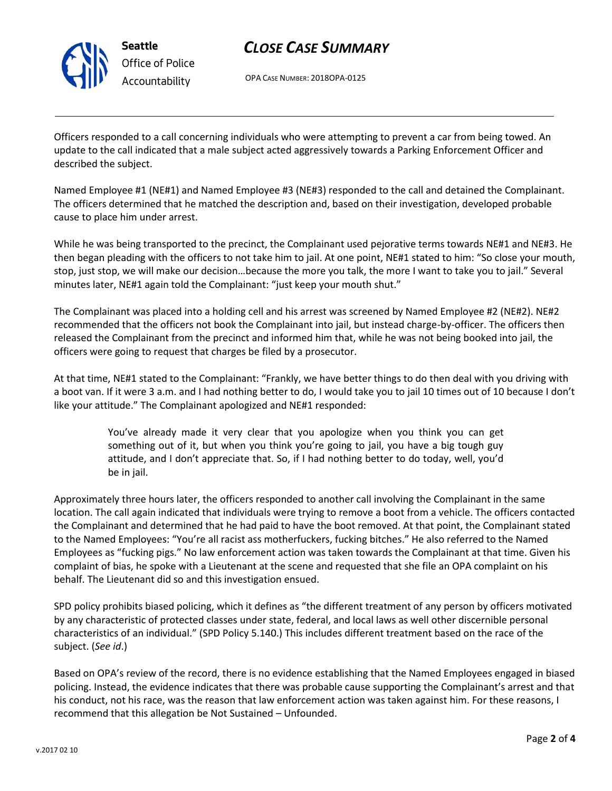

# *CLOSE CASE SUMMARY*

OPA CASE NUMBER: 2018OPA-0125

Officers responded to a call concerning individuals who were attempting to prevent a car from being towed. An update to the call indicated that a male subject acted aggressively towards a Parking Enforcement Officer and described the subject.

Named Employee #1 (NE#1) and Named Employee #3 (NE#3) responded to the call and detained the Complainant. The officers determined that he matched the description and, based on their investigation, developed probable cause to place him under arrest.

While he was being transported to the precinct, the Complainant used pejorative terms towards NE#1 and NE#3. He then began pleading with the officers to not take him to jail. At one point, NE#1 stated to him: "So close your mouth, stop, just stop, we will make our decision…because the more you talk, the more I want to take you to jail." Several minutes later, NE#1 again told the Complainant: "just keep your mouth shut."

The Complainant was placed into a holding cell and his arrest was screened by Named Employee #2 (NE#2). NE#2 recommended that the officers not book the Complainant into jail, but instead charge-by-officer. The officers then released the Complainant from the precinct and informed him that, while he was not being booked into jail, the officers were going to request that charges be filed by a prosecutor.

At that time, NE#1 stated to the Complainant: "Frankly, we have better things to do then deal with you driving with a boot van. If it were 3 a.m. and I had nothing better to do, I would take you to jail 10 times out of 10 because I don't like your attitude." The Complainant apologized and NE#1 responded:

> You've already made it very clear that you apologize when you think you can get something out of it, but when you think you're going to jail, you have a big tough guy attitude, and I don't appreciate that. So, if I had nothing better to do today, well, you'd be in jail.

Approximately three hours later, the officers responded to another call involving the Complainant in the same location. The call again indicated that individuals were trying to remove a boot from a vehicle. The officers contacted the Complainant and determined that he had paid to have the boot removed. At that point, the Complainant stated to the Named Employees: "You're all racist ass motherfuckers, fucking bitches." He also referred to the Named Employees as "fucking pigs." No law enforcement action was taken towards the Complainant at that time. Given his complaint of bias, he spoke with a Lieutenant at the scene and requested that she file an OPA complaint on his behalf. The Lieutenant did so and this investigation ensued.

SPD policy prohibits biased policing, which it defines as "the different treatment of any person by officers motivated by any characteristic of protected classes under state, federal, and local laws as well other discernible personal characteristics of an individual." (SPD Policy 5.140.) This includes different treatment based on the race of the subject. (*See id*.)

Based on OPA's review of the record, there is no evidence establishing that the Named Employees engaged in biased policing. Instead, the evidence indicates that there was probable cause supporting the Complainant's arrest and that his conduct, not his race, was the reason that law enforcement action was taken against him. For these reasons, I recommend that this allegation be Not Sustained – Unfounded.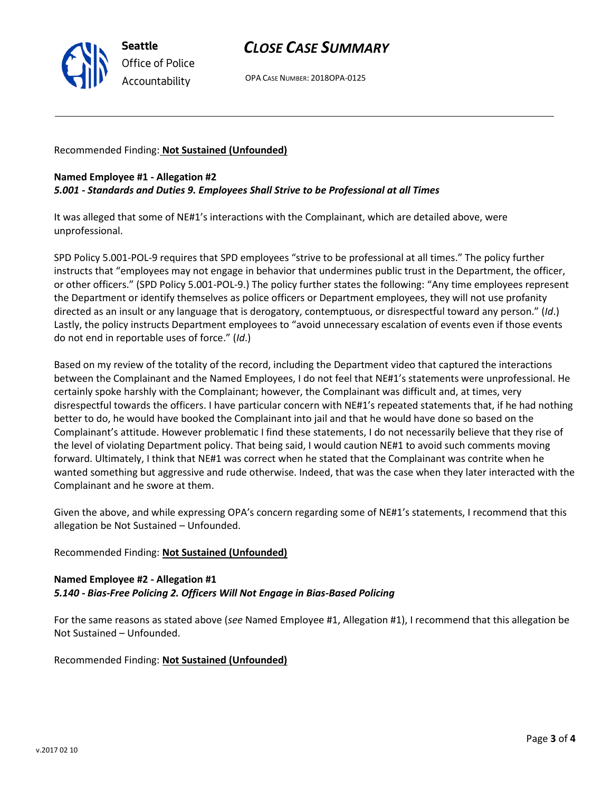

## *CLOSE CASE SUMMARY*

OPA CASE NUMBER: 2018OPA-0125

Recommended Finding: **Not Sustained (Unfounded)**

# **Named Employee #1 - Allegation #2**

*5.001 - Standards and Duties 9. Employees Shall Strive to be Professional at all Times*

It was alleged that some of NE#1's interactions with the Complainant, which are detailed above, were unprofessional.

SPD Policy 5.001-POL-9 requires that SPD employees "strive to be professional at all times." The policy further instructs that "employees may not engage in behavior that undermines public trust in the Department, the officer, or other officers." (SPD Policy 5.001-POL-9.) The policy further states the following: "Any time employees represent the Department or identify themselves as police officers or Department employees, they will not use profanity directed as an insult or any language that is derogatory, contemptuous, or disrespectful toward any person." (*Id*.) Lastly, the policy instructs Department employees to "avoid unnecessary escalation of events even if those events do not end in reportable uses of force." (*Id*.)

Based on my review of the totality of the record, including the Department video that captured the interactions between the Complainant and the Named Employees, I do not feel that NE#1's statements were unprofessional. He certainly spoke harshly with the Complainant; however, the Complainant was difficult and, at times, very disrespectful towards the officers. I have particular concern with NE#1's repeated statements that, if he had nothing better to do, he would have booked the Complainant into jail and that he would have done so based on the Complainant's attitude. However problematic I find these statements, I do not necessarily believe that they rise of the level of violating Department policy. That being said, I would caution NE#1 to avoid such comments moving forward. Ultimately, I think that NE#1 was correct when he stated that the Complainant was contrite when he wanted something but aggressive and rude otherwise. Indeed, that was the case when they later interacted with the Complainant and he swore at them.

Given the above, and while expressing OPA's concern regarding some of NE#1's statements, I recommend that this allegation be Not Sustained – Unfounded.

## Recommended Finding: **Not Sustained (Unfounded)**

## **Named Employee #2 - Allegation #1** *5.140 - Bias-Free Policing 2. Officers Will Not Engage in Bias-Based Policing*

For the same reasons as stated above (*see* Named Employee #1, Allegation #1), I recommend that this allegation be Not Sustained – Unfounded.

Recommended Finding: **Not Sustained (Unfounded)**